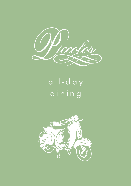

# all-day dining

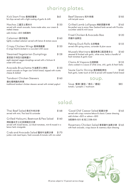# sharing plates.

| Kick Start Fries 香辣蒜薯條<br>fat chips served with a light coating of garlic & chilli                                          | \$65  |
|-----------------------------------------------------------------------------------------------------------------------------|-------|
| Nachos 三醬芝士粟米片<br>served with smash avocado, home made salsa, sour cream &<br>melted cheese<br>add chicken +\$30 加配雞肉       | \$130 |
| Calamari 香炸魷魚<br>lightly crumbed calamari served with lemon & tartare sauce                                                 | \$160 |
| Crispy Chicken Wings 香辣燒雞翼<br>6 wings fried & dunked in a succulent chilli sauce                                            | \$130 |
| Steamed Vegetarian Dumplings<br>素菜餃子伴四川甜辣醬汁<br>eight steamed veggie dumplings served with a Sichuan &<br>sweet chilli sauce | \$128 |
| Avocado Bruschetta 牛油果芝士烤包<br>smash avocado on finger size Turkish bread, topped with ricotta<br>cheese & dukkah            | \$130 |
| Tandoori Chicken Skewers<br>唐杜裡烤雞肉串燒<br>traditional tandoori chicken skewers served with minted yoghurt                     | \$160 |
|                                                                                                                             |       |

| Beef Skewers 和牛串燒<br>with teriyaki sauce                                                                                       | \$185 |
|--------------------------------------------------------------------------------------------------------------------------------|-------|
| Grilled Lamb Lollipops 烤新西蘭羊棒<br>the perfect way to enjoy New Zealand lamb served with Piccolos<br>cucumber salad & mint sauce | \$165 |
| Fried Chicken & Avocado Bao<br>炸雞牛油果包                                                                                          | \$120 |
| Peking Duck Rolls 北京鴨卷<br>served with spring onions, coriander & plum sauce                                                    | \$155 |
| Mussels Marinara 蕃茄煮青口配蒜香多士<br>steamed & finished with garlic, white wine, herbs a handful of<br>fresh tomatoes & garlic toast | \$160 |
| Clams Al Vapore 白酒煮蜆<br>clams cooked in a sauce of white wine, chili, garlic & fresh herbs                                     | \$155 |
| Saute Garlic Shrimp 香蒜蝦配烤包<br>fresh garlic, butter touch of chili & served with toasted Turkish bread                          | \$160 |
| soup                                                                                                                           |       |

| Soup 餐湯 (番茄 / 南瓜 / 蘑菇)      | \$85 |
|-----------------------------|------|
| tomato / pumpkin / mushroom |      |

# salad.

Thai Beef Salad 泰式牛肉沙律 \$168 served with mint, Thai basil & coriander

### Grilled Haloumi, Beetroot & Pea Salad \$160 烤哈羅米芝士紅菜頭豌豆沙律

served with mixed leaves, sun blush tomatoes, mint & tossed in a lemon herb vinaigrette

Crab and Avocado Salad 蟹肉牛油果沙律 \$170 jumbo crab meat layers, fresh avocado & tomato with mix salad

'Good Old' Caesar Salad 凱撒沙律 \$165 served with crispy romaine lettuce & classic Caesar dressing. add chicken +\$25 or salmon +\$30 加配雞肉+\$25 或 配三文魚+\$30

Rosemary Chicken Salad 香草雞牛油果沙律 \$165 with fresh avocado, crispy bacon & rosemary dijon dressing

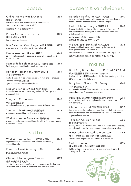### pasta.

| Old Fashioned Mac & Cheese<br>傳統芝士通心粉<br>macaroni pasta with Piccolos special cheese sauce<br>add chicken +\$40 or prawns +\$60<br>加配雞肉+\$40 或 配蝦肉+\$60                     | \$155 |
|-----------------------------------------------------------------------------------------------------------------------------------------------------------------------------|-------|
| Prawn & Salmon Fettuccine<br>香蒜大蝦三文魚闊麵<br>in a creamy garlic sauce                                                                                                          | \$175 |
| Blue Swimmer Crab Linguine 蟹肉扁意粉<br>crab, garlic, chilli, white wine & virgin olive oil                                                                                     | \$175 |
| Penne Arrabiata 香辣茄汁長通粉<br>spicy tomato sauce, bell peppers, a hand full of fresh basil &<br>shaved parmesan                                                                | \$165 |
| Pappardelle Bolognese 意式牛肉肉醬闊麵<br>fresh Wagyu minced beef in a rich tomato sauce                                                                                            | \$165 |
| Ravioli in Tomato or Cream Sauce<br>芝士菠菜意式雲吞<br>ricotta & spinach filled ravioli served with your choice of sauce<br>- creamy sauce 配忌廉白汁<br>- garlic & tomato sauce 配蒜香蕃茄汁 | \$165 |
| Linguine Vongole 香蒜白酒蜆肉扁意粉<br>sautéed clams, tossed in extra virgin olive oil, fresh garlic &<br>a shake of chili                                                           | \$165 |
| Spaghetti Carbonara<br>卡邦尼煙肉蛋意粉<br>served with bacon, egg, parmesan cheese & double cream                                                                                   | \$160 |
| Spaghetti Marinara 海鮮番茄意粉<br>with mixed seafood in a basil marinara sauce                                                                                                   | \$175 |
| Wild Mushroom Fettuccine 蘑菇闊麵<br>4 kinds of mushrooms sautéed in garlic with a rich creamy sauce<br>& pecorino cheese                                                       | \$160 |
| risotto.                                                                                                                                                                    |       |
| Wild Mushroom Risotto 野生蘑菇燴飯<br>enjoy the flavors & textures of four different mushrooms,<br>sautéed in garlic                                                              | \$160 |
| Pumpkin, Pea & Asparagus Risotto<br>南瓜豌豆蘆筍意大利飯                                                                                                                              | \$160 |
| Chicken & Lemongrass Risotto<br>雞肉檸檬香茅意大利飯                                                                                                                                  | \$175 |

chunky chicken pieces sautéed with lemongrass, garlic, herbs & white wine with a touch of parmesan and cream to finish

# burgers & sandwiches.

| Rosedale Beef Burger 招牌牛肉漢堡<br>Wagyu beef pattie served with plum tomatoes, butter lettuce,<br>spanish onions, cheddar cheese & potato wedges                                                                                                 | \$190 |
|-----------------------------------------------------------------------------------------------------------------------------------------------------------------------------------------------------------------------------------------------|-------|
| Grilled Chicken Burger 烤雞肉漢堡<br>flame grilled chicken breast fillet, topped with fresh salad &<br>our creamy ranch dressing on a toasted sesame seed bun<br>with French fries<br>add avocado +\$20 or cheese +\$20<br>加配牛油果 +\$20 或 配芝士 +\$20 | \$168 |
| Wagyu Steak Sandwich 牛扒三文治<br>flame grilled beef served with cheese, grilled onions &<br>fresh garden salad with French fries<br>add avocado +\$20 bacon +\$20 beetroot +\$20 egg +\$20<br>加配牛油果+\$20 煙肉+\$20 紅菜頭+\$20 蛋+\$20                 | \$178 |
| mains.                                                                                                                                                                                                                                        |       |
| <b>BBQ Baby Back Ribs</b><br>香烤豬肋骨配粗薯條 半份\$215 / 全份\$390<br>Half or Full rack of US baby back ribs, braised perfectly in a rich<br>BBQ sauce served with fat chips                                                                            |       |
| Baby Lamb Fillets In Filo Pastry<br>羊肉酥皮卷配薯蓉<br>succulent baby lamb fillets cooked in filo pastry, served with<br>mashed potatoes & seasonal vegetables                                                                                       | \$265 |
| Pork Belly 脆皮豬腩肉配蘋果醬,薯蓉,胡蘿蔔<br>snap cracking pork belly, apple confit, mash potato, carrots &<br>rich pork gravy                                                                                                                              | \$265 |
| Chicken Schnitzel 炸雞扒配薯條,沙律<br>thin slices of tender chicken pan fried in a blend of herb crumbs<br>served with French fries, Milanese tomato sauce, rocket salad,<br>capers & lemon wedges                                                   | \$220 |
| Tandoori Chicken Fajitas<br>印度烤雞肉配薄餅<br>sizzling chicken tenderloins marinated in Piccolos Tandoori sauce,<br>served with four tortillas, mint yogurt, mango chutney & salsa                                                                  | \$255 |
| Horseradish Crusted Salmon Steak<br>香煎三文魚扒配山葵,蔬菜,蒔蘿,小酸豆,奶油汁<br>with steamed vegetables, dill, capers & butter sauce                                                                                                                           | \$265 |
| Grilled Tilapia<br>香烤羅非魚配芒果牛油果莎莎醬,薯蓉                                                                                                                                                                                                          | \$195 |

lightly grilled Tilapia served with a mango avocado salsa & creamy mash potato